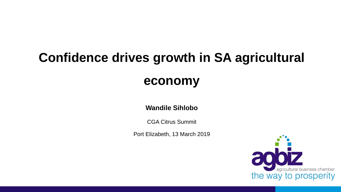# **Confidence drives growth in SA agricultural**

## **economy**

#### **Wandile Sihlobo**

CGA Citrus Summit

Port Elizabeth, 13 March 2019

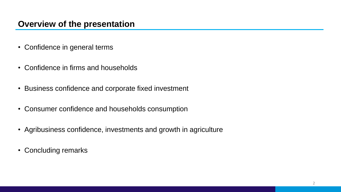#### **Overview of the presentation**

- Confidence in general terms
- Confidence in firms and households
- Business confidence and corporate fixed investment
- Consumer confidence and households consumption
- Agribusiness confidence, investments and growth in agriculture
- Concluding remarks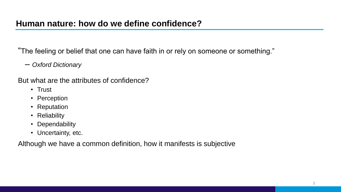"The feeling or belief that one can have faith in or rely on someone or something."

– *Oxford Dictionary*

But what are the attributes of confidence?

- Trust
- Perception
- Reputation
- Reliability
- Dependability
- Uncertainty, etc.

Although we have a common definition, how it manifests is subjective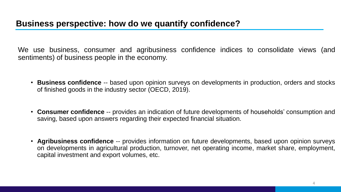We use business, consumer and agribusiness confidence indices to consolidate views (and sentiments) of business people in the economy.

- **Business confidence** -- based upon opinion surveys on developments in production, orders and stocks of finished goods in the industry sector (OECD, 2019).
- **Consumer confidence** -- provides an indication of future developments of households' consumption and saving, based upon answers regarding their expected financial situation.
- **Agribusiness confidence** -- provides information on future developments, based upon opinion surveys on developments in agricultural production, turnover, net operating income, market share, employment, capital investment and export volumes, etc.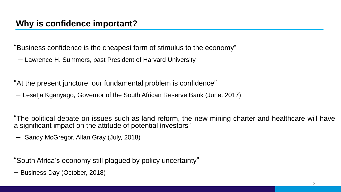"Business confidence is the cheapest form of stimulus to the economy"

– Lawrence H. Summers, past President of Harvard University

"At the present juncture, our fundamental problem is confidence"

– Lesetja Kganyago, Governor of the South African Reserve Bank (June, 2017)

"The political debate on issues such as land reform, the new mining charter and healthcare will have a significant impact on the attitude of potential investors"

– Sandy McGregor, Allan Gray (July, 2018)

"South Africa's economy still plagued by policy uncertainty"

– Business Day (October, 2018)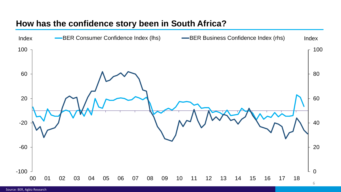#### **How has the confidence story been in South Africa?**

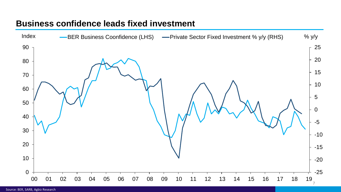#### **Business confidence leads fixed investment**

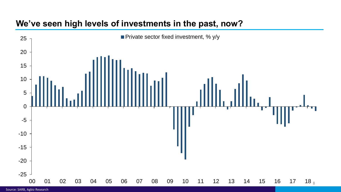#### **We've seen high levels of investments in the past, now?**



Source: SARB, Agbiz Research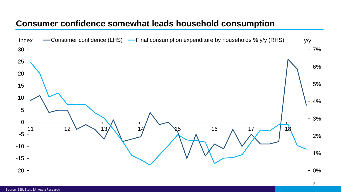#### **Consumer confidence somewhat leads household consumption**

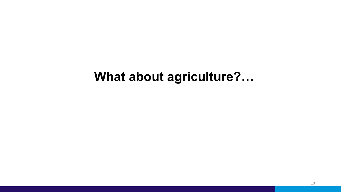# **What about agriculture?…**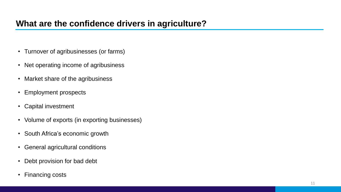#### **What are the confidence drivers in agriculture?**

- Turnover of agribusinesses (or farms)
- Net operating income of agribusiness
- Market share of the agribusiness
- Employment prospects
- Capital investment
- Volume of exports (in exporting businesses)
- South Africa's economic growth
- General agricultural conditions
- Debt provision for bad debt
- Financing costs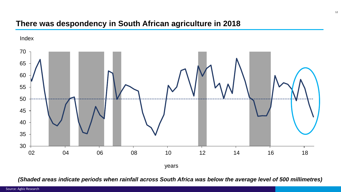#### **There was despondency in South African agriculture in 2018**



*(Shaded areas indicate periods when rainfall across South Africa was below the average level of 500 millimetres)*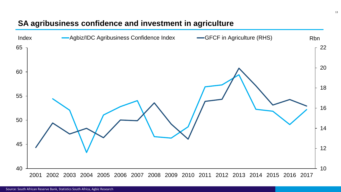#### **SA agribusiness confidence and investment in agriculture**

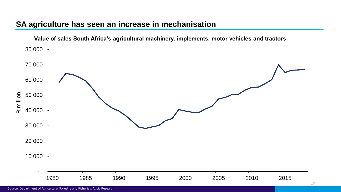#### **SA agriculture has seen an increase in mechanisation**

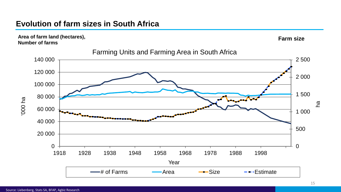#### **Evolution of farm sizes in South Africa**

**Area of farm land (hectares), Number of farms**





#### Farming Units and Farming Area in South Africa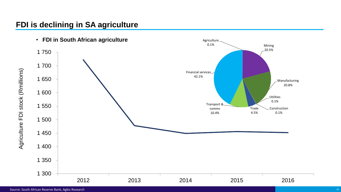#### **FDI is declining in SA agriculture**

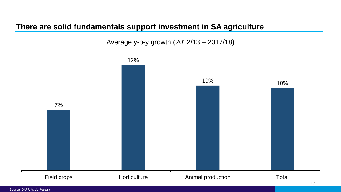#### **There are solid fundamentals support investment in SA agriculture**

Average y-o-y growth (2012/13 – 2017/18)

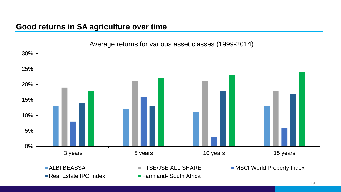#### **Good returns in SA agriculture over time**



Average returns for various asset classes (1999-2014)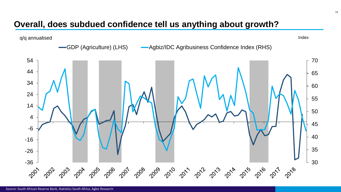#### **Overall, does subdued confidence tell us anything about growth?**

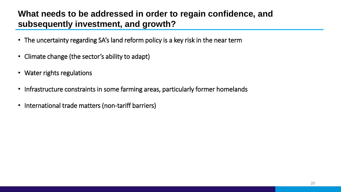### **What needs to be addressed in order to regain confidence, and subsequently investment, and growth?**

- The uncertainty regarding SA's land reform policy is a key risk in the near term
- Climate change (the sector's ability to adapt)
- Water rights regulations
- Infrastructure constraints in some farming areas, particularly former homelands
- International trade matters (non-tariff barriers)